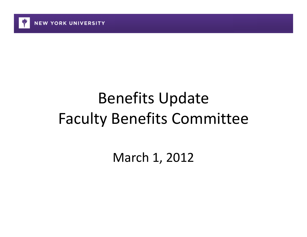

# Benefits Update Faculty Benefits Committee

March 1, 2012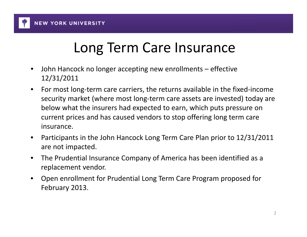

**NEW YORK UNIVERSITY** 

## Long Term Care Insurance

- $\bullet$  John Hancock no longer accepting new enrollments – effective 12/31/2011
- $\bullet$  For most long‐term care carriers, the returns available in the fixed‐income security market (where most long‐term care assets are invested) today are below what the insurers had expected to earn, which puts pressure on current prices and has caused vendors to stop offering long term care insurance.
- $\bullet$  Participants in the John Hancock Long Term Care Plan prior to 12/31/2011 are not impacted.
- $\bullet$  The Prudential Insurance Company of America has been identified as <sup>a</sup> replacement vendor.
- $\bullet$  Open enrollment for Prudential Long Term Care Program proposed for February 2013.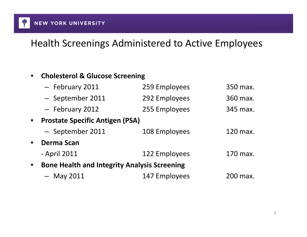

#### Health Screenings Administered to Active Employees

#### $\bullet$ **Cholesterol & Glucose Screening**

| - February 2011   | 259 Employees | 350 max.                                                                                      |
|-------------------|---------------|-----------------------------------------------------------------------------------------------|
| - September 2011  | 292 Employees | 360 max.                                                                                      |
| - February 2012   | 255 Employees | 345 max.                                                                                      |
|                   |               |                                                                                               |
| - September 2011  | 108 Employees | 120 max.                                                                                      |
| <b>Derma Scan</b> |               |                                                                                               |
| - April 2011      | 122 Employees | 170 max.                                                                                      |
|                   |               |                                                                                               |
| $-$ May 2011      | 147 Employees | 200 max.                                                                                      |
|                   |               | <b>Prostate Specific Antigen (PSA)</b><br><b>Bone Health and Integrity Analysis Screening</b> |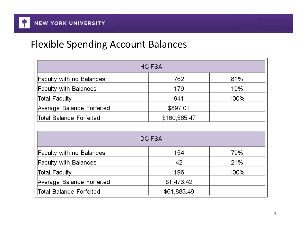#### Flexible Spending Account Balances

| <b>HC FSA</b>                                  |             |      |  |  |
|------------------------------------------------|-------------|------|--|--|
| <b>Faculty with no Balances</b>                | 762         | 81%  |  |  |
| <b>Faculty with Balances</b>                   | 179         | 19%  |  |  |
| <b>Total Faculty</b>                           | 941         | 100% |  |  |
| Average Balance Forfeited                      | \$897.01    |      |  |  |
| \$160,565.47<br><b>Total Balance Forfeited</b> |             |      |  |  |
|                                                |             |      |  |  |
|                                                | DC FSA      |      |  |  |
| <b>Faculty with no Balances</b>                | 154         | 79%  |  |  |
| <b>Faculty with Balances</b>                   | 42          | 21%  |  |  |
| <b>Total Faculty</b>                           | 196         | 100% |  |  |
| Average Balance Forfeited                      | \$1,473.42  |      |  |  |
| <b>Total Balance Forfeited</b>                 | \$61,883.49 |      |  |  |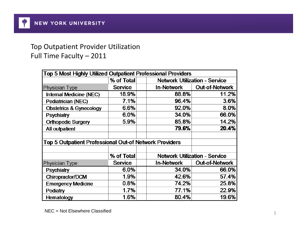#### Top Outpatient Provider Utilization Full Time Faculty – 2011

| <b>Top 5 Most Highly Utilized Outpatient Professional Providers</b> |                |                   |                                      |
|---------------------------------------------------------------------|----------------|-------------------|--------------------------------------|
|                                                                     | % of Total     |                   | <b>Network Utilization - Service</b> |
| <b>Physician Type</b>                                               | <b>Service</b> | <b>In-Network</b> | <b>Out-of-Network</b>                |
| Internal Medicine (NEC)                                             | 18.9%          | 88.8%             | 11.2%                                |
| Pediatrician (NEC)                                                  | 7.1%           | 96.4%             | 3.6%                                 |
| <b>Obstetrics &amp; Gynecology</b>                                  | 6.6%           | 92.0%             | 8.0%                                 |
| <b>Psychiatry</b>                                                   | 6.0%           | 34.0%             | 66.0%                                |
| <b>Orthopedic Surgery</b>                                           | 5.9%           | 85.8%             | 14.2%                                |
| All outpatient                                                      |                | 79.6%             | 20.4%                                |
|                                                                     |                |                   |                                      |
| <b>Top 5 Outpatient Professional Out-of Network Providers</b>       |                |                   |                                      |
|                                                                     |                |                   |                                      |
|                                                                     | % of Total     |                   | <b>Network Utilization - Service</b> |
| <b>Physician Type</b>                                               | <b>Service</b> | In-Network        | <b>Out-of-Network</b>                |
| <b>Psychiatry</b>                                                   | 6.0%           | 34.0%             | 66.0%                                |
| Chiropractor/DCM                                                    | 1.9%           | 42.6%             | 57.4%                                |
| <b>Emergency Medicine</b>                                           | 0.8%           | 74.2%             | 25.8%                                |
| Podiatry                                                            | 1.7%           | 77.1%             | 22.9%                                |
| Hematology                                                          | 1.6%           | 80.4%             | 19.6%                                |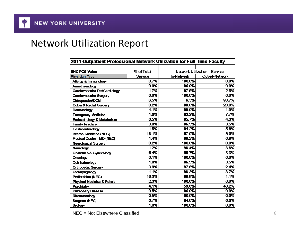#### Network Utilization Report

| 2011 Outpatient Professional Network Utilization for Full Time Faculty |                |                   |                                      |  |
|------------------------------------------------------------------------|----------------|-------------------|--------------------------------------|--|
|                                                                        |                |                   |                                      |  |
| <b>UHC POS Value</b>                                                   | % of Total     |                   | <b>Network Utilization - Service</b> |  |
| Physician Type                                                         | <b>Service</b> | <b>In-Network</b> | <b>Out-of-Network</b>                |  |
| <b>Allergy &amp; Immunology</b>                                        | 0.7%           | 100.0%            | 0.0%                                 |  |
| Anesthesiology                                                         | 0.0%           | 100.0%            | 0.0%                                 |  |
| Cardiovascular Dis/Cardiology                                          | 1.7%           | 97.5%             | 25%                                  |  |
| <b>Cardiovascular Surgery</b>                                          | 0.0%           | 100.0%            | 0.0%                                 |  |
| Chiropractor/DCM                                                       | 6.5%           | 6.3%              | 93.7%                                |  |
| <b>Colon &amp; Rectal Surgery</b>                                      | 0.2%           | 80.0%             | 20.0%                                |  |
| Dermatology                                                            | 4.1%           | 99.0%             | 1.0%                                 |  |
| <b>Emergency Medicine</b>                                              | 1.0%           | 92.3%             | 7.7%                                 |  |
| <b>Endocrinology &amp; Metabolism</b>                                  | 0.5%           | 95.7%             | 4.3%                                 |  |
| <b>Family Practice</b>                                                 | 3.0%           | 96.5%             | 3.5%                                 |  |
| Gastroenterology                                                       | 1.5%           | 94.2%             | 5.8%                                 |  |
| Internal Medicine (NEC)                                                | 18.1%          | 97.0%             | 3.0%                                 |  |
| Medical Doctor - MD (NEC)                                              | 1.4%           | 99.2%             | 0.8%                                 |  |
| <b>Neurological Surgery</b>                                            | 0.2%           | 100.0%            | 0.0%                                 |  |
| <b>Neurology</b>                                                       | 1.2%           | 96.4%             | 3.6%                                 |  |
| <b>Obstetrics &amp; Gynecology</b>                                     | 6.4%           | 96.7%             | 3.3%                                 |  |
| <b>Oncology</b>                                                        | 0.1%           | 100.0%            | 0.0%                                 |  |
| Ophthalmology                                                          | 1.8%           | 96.5%             | 3.5%                                 |  |
| <b>Orthopedic Surgery</b>                                              | 3.9%           | 97.6%             | 24%                                  |  |
| Otolaryngology                                                         | 1.1%           | 96.3%             | 3.7%                                 |  |
| Pediatrician (NEC)                                                     | 16.3%          | 98.9%             | 1.1%                                 |  |
| Physical Medicine & Rehab                                              | 2.3%           | 100.0%            | 0.0%                                 |  |
| Psychiatry                                                             | 4.1%           | 59.8%             | 40.2%                                |  |
| <b>Pulmonary Disease</b>                                               | 0.5%           | 100.0%            | 0.0%                                 |  |
| Rheumatology                                                           | 0.5%           | 100.0%            | 0.0%                                 |  |
| Surgeon (NEC)                                                          | 0.7%           | 94.0%             | 6.0%                                 |  |
| <b>Urology</b>                                                         | 1.0%           | 100.0%            | 0.0%                                 |  |

NEC = Not Elsewhere Classifiedd 6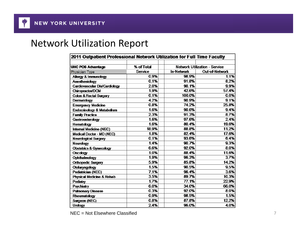#### Network Utilization Report

| 2011 Outpatient Professional Network Utilization for Full Time Faculty |                |                   |                                      |
|------------------------------------------------------------------------|----------------|-------------------|--------------------------------------|
|                                                                        |                |                   |                                      |
| <b>UHC POS Advantage</b>                                               | % of Total     |                   | <b>Network Utilization - Service</b> |
| Physician Type                                                         | <b>Service</b> | <b>In-Network</b> | <b>Out-of-Network</b>                |
| <b>Allergy &amp; Immunology</b>                                        | 0.9%           | 98.9%             | 1.1%                                 |
| Anesthesiology                                                         | 0.1%           | 91.8%             | 8.2%                                 |
| Cardiovascular Dis/Cardiology                                          | 2.0%           | 90.1%             | 9.9%                                 |
| Chiropractor/DCM                                                       | 1.9%           | 42.6%             | 57.4%                                |
| <b>Colon &amp; Rectal Surgery</b>                                      | 0.1%           | 100.0%            | 0.0%                                 |
| Dermatology                                                            | 4.2%           | 90.9%             | 9.1%                                 |
| <b>Emergency Medicine</b>                                              | 0.8%           | 74.2%             | 25.8%                                |
| <b>Endocrinology &amp; Metabolism</b>                                  | 1.6%           | 90.6%             | 9.4%                                 |
| <b>Family Practice</b>                                                 | 2.3%           | 91.3%             | 8.7%                                 |
| <b>Gastroenterology</b>                                                | 1.6%           | 97.6%             | 24%                                  |
| Hematology                                                             | 1.6%           | 80.4%             | 19.6%                                |
| Internal Medicine (NEC)                                                | 18.9%          | 88.8%             | 11.2%                                |
| Medical Doctor - MD (NEC)                                              | 1.8%           | 82.4%             | 17.6%                                |
| <b>Neurological Surgery</b>                                            | 0.1%           | 93.6%             | 6.4%                                 |
| <b>Neurology</b>                                                       | 1.4%           | 90.7%             | 9.3%                                 |
| <b>Obstetrics &amp; Gynecology</b>                                     | 6.6%           | 92.0%             | 8.0%                                 |
| <b>Oncology</b>                                                        | 1.0%           | 88.4%             | 11.6%                                |
| Ophthalmology                                                          | 1.9%           | 96.3%             | 3.7%                                 |
| <b>Orthopedic Surgery</b>                                              | 5.9%           | 85.8%             | 14.2%                                |
| Otolaryngology                                                         | 1.5%           | 90.5%             | 9.5%                                 |
| Pediatrician (NEC)                                                     | 7.1%           | 96.4%             | 3.6%                                 |
| Physical Medicine & Rehab                                              | 3.5%           | 89.7%             | 10.3%                                |
| Podiatry                                                               | 1.7%           | 77.1%             | 22.9%                                |
| Psychiatry                                                             | 6.0%           | 34.0%             | 66.0%                                |
| <b>Pulmonary Disease</b>                                               | 0.3%           | 92.0%             | 8.0%                                 |
| Rheumatology                                                           | 0.9%           | 98.5%             | 1.5%                                 |
| Surgeon (NEC)                                                          | 0.8%           | 87.8%             | 12.2%                                |
| <b>Urology</b>                                                         | 2.4%           | 96.0%             | 4.0%                                 |

NEC = Not Elsewhere Classifiedd 7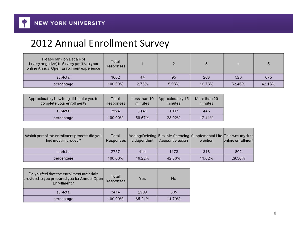

### Annual Enrollment Survey

| Please rank on a scale of<br>1 (very negative) to 5 (very positive) your<br>online Annual Open Enrollment experience | Total<br>Responses |       |       |        |        |        |
|----------------------------------------------------------------------------------------------------------------------|--------------------|-------|-------|--------|--------|--------|
| subtotal                                                                                                             | 1602               | 44    | 95    | 268    | 520    | 675    |
| percentage                                                                                                           | 100.00%            | 2.75% | 5.93% | 16.73% | 32.46% | 42.13% |

| Approximately how long did it take you to<br>complete your enrollment? | Total<br>Responses | Less than 10<br>minutes | Approximately 15<br>minutes | More than 20<br>minutes |
|------------------------------------------------------------------------|--------------------|-------------------------|-----------------------------|-------------------------|
| subtotal                                                               | 3594               | 2141                    | 1007                        | 446                     |
| percentage                                                             | 100.00%            | 59.57%                  | 28.02%                      | 12.41%                  |

| Which part of the enrollment process did you<br>find most improved? | Total<br>Responses | a dependent | Account election | Adding/Deleting Flexible Spending Supplemental Life This was my first<br>election | online enrollment |
|---------------------------------------------------------------------|--------------------|-------------|------------------|-----------------------------------------------------------------------------------|-------------------|
| subtotal                                                            | 2737               | 444         | 1173             | 318                                                                               | 802               |
| percentage                                                          | 100.00%            | 16.22%      | 42.86%           | 11.62%                                                                            | 29.30%            |

| Do you feel that the enrollment materials<br>provided to you prepared you for Annual Open<br>Enrollment? | Total<br>Responses | Yes    | No     |
|----------------------------------------------------------------------------------------------------------|--------------------|--------|--------|
| subtotal                                                                                                 | 3414               | 2909   | 505    |
| percentage                                                                                               | 100.00%            | 85.21% | 14.79% |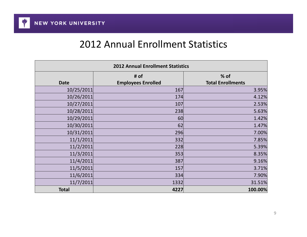#### 2012 Annual Enrollment Statistics

| <b>2012 Annual Enrollment Statistics</b> |                                   |                                  |  |  |
|------------------------------------------|-----------------------------------|----------------------------------|--|--|
| <b>Date</b>                              | # of<br><b>Employees Enrolled</b> | % of<br><b>Total Enrollments</b> |  |  |
| 10/25/2011                               | 167                               | 3.95%                            |  |  |
| 10/26/2011                               | 174                               | 4.12%                            |  |  |
| 10/27/2011                               | 107                               | 2.53%                            |  |  |
| 10/28/2011                               | 238                               | 5.63%                            |  |  |
| 10/29/2011                               | 60                                | 1.42%                            |  |  |
| 10/30/2011                               | 62                                | 1.47%                            |  |  |
| 10/31/2011                               | 296                               | 7.00%                            |  |  |
| 11/1/2011                                | 332                               | 7.85%                            |  |  |
| 11/2/2011                                | 228                               | 5.39%                            |  |  |
| 11/3/2011                                | 353                               | 8.35%                            |  |  |
| 11/4/2011                                | 387                               | 9.16%                            |  |  |
| 11/5/2011                                | 157                               | 3.71%                            |  |  |
| 11/6/2011                                | 334                               | 7.90%                            |  |  |
| 11/7/2011                                | 1332                              | 31.51%                           |  |  |
| <b>Total</b>                             | 4227                              | 100.00%                          |  |  |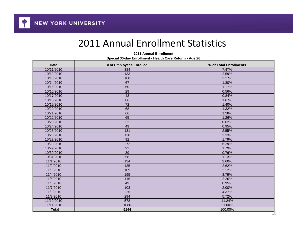#### 2011 Annual Enrollment Statistics

| 2011 Annual Enrollment                                  |  |  |  |  |
|---------------------------------------------------------|--|--|--|--|
| Special 30-day Enrollment - Health Care Reform - Age 26 |  |  |  |  |

| <b>Date</b>  | # of Employees Enrolled | % of Total Enrollments |
|--------------|-------------------------|------------------------|
| 10/11/2010   | 384                     | 7.47%                  |
| 10/12/2010   | 133                     | 2.59%                  |
| 10/13/2010   | 168                     | 3.27%                  |
| 10/14/2010   | 67                      | 1.30%                  |
| 10/15/2010   | 60                      | 1.17%                  |
| 10/16/2010   | 29                      | 0.56%                  |
| 10/17/2010   | 43                      | 0.84%                  |
| 10/18/2010   | 86                      | 1.67%                  |
| 10/19/2010   | 72                      | 1.40%                  |
| 10/20/2010   | 68                      | 1.32%                  |
| 10/21/2010   | 66                      | 1.28%                  |
| 10/22/2010   | 65                      | 1.26%                  |
| 10/23/2010   | 32                      | 0.62%                  |
| 10/24/2010   | 49                      | 0.95%                  |
| 10/25/2010   | 131                     | 2.55%                  |
| 10/26/2010   | 120                     | 2.33%                  |
| 10/27/2010   | 92                      | 1.79%                  |
| 10/28/2010   | 272                     | 5.29%                  |
| 10/29/2010   | 92                      | 1.79%                  |
| 10/30/2010   | 39                      | 0.76%                  |
| 10/31/2010   | 58                      | 1.13%                  |
| 11/1/2010    | 134                     | 2.60%                  |
| 11/2/2010    | 135                     | 2.62%                  |
| 11/3/2010    | 109                     | 2.12%                  |
| 11/4/2010    | 195                     | 3.79%                  |
| 11/5/2010    | 116                     | 2.26%                  |
| 11/6/2010    | 49                      | 0.95%                  |
| 11/7/2010    | 103                     | 2.00%                  |
| 11/8/2010    | 225                     | 4.37%                  |
| 11/9/2010    | 294                     | 5.72%                  |
| 11/10/2010   | 578                     | 11.24%                 |
| 11/11/2010   | 1080                    | 21.00%                 |
| <b>Total</b> | 5144                    | 100.00%                |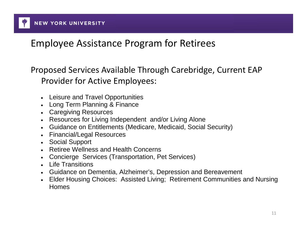

#### Employee Assistance Program for Retirees

Proposed Services Available Through Carebridge, Current EAP Provider for Active Employees:

- Leisure and Travel Opportunities
- Long Term Planning & Finance
- Caregiving Resources
- Resources for Living Independent and/or Living Alone
- Guidance on Entitlements (Medicare, Medicaid, Social Security)
- Financial/Legal Resources
- Social Support
- Retiree Wellness and Health Concerns
- Concierge Services (Transportation, Pet Services)
- Life Transitions
- Guidance on Dementia, Alzheimer's, Depression and Bereavement
- Elder Housing Choices: Assisted Living; Retirement Communities and Nursing Homes